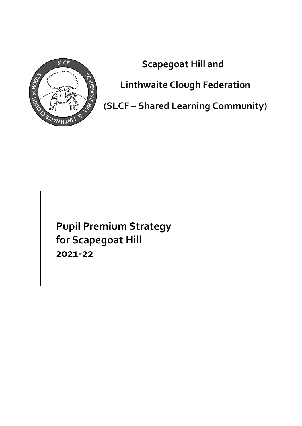

**Scapegoat Hill and** 

**Linthwaite Clough Federation** 

**(SLCF – Shared Learning Community)**

**Pupil Premium Strategy for Scapegoat Hill 2021-22**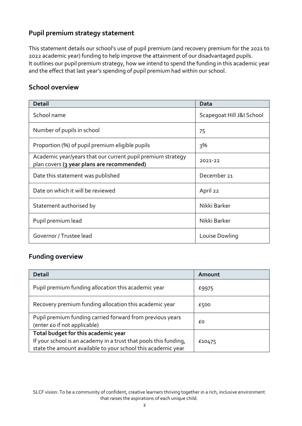## **Pupil premium strategy statement**

This statement details our school's use of pupil premium (and recovery premium for the 2021 to 2022 academic year) funding to help improve the attainment of our disadvantaged pupils. It outlines our pupil premium strategy, how we intend to spend the funding in this academic year and the effect that last year's spending of pupil premium had within our school.

#### **School overview**

| <b>Detail</b>                                                                                             | Data                      |
|-----------------------------------------------------------------------------------------------------------|---------------------------|
| School name                                                                                               | Scapegoat Hill J&I School |
| Number of pupils in school                                                                                | 75                        |
| Proportion (%) of pupil premium eligible pupils                                                           | 3%                        |
| Academic year/years that our current pupil premium strategy<br>plan covers (3 year plans are recommended) | 2021-22                   |
| Date this statement was published                                                                         | December 21               |
| Date on which it will be reviewed                                                                         | April 22                  |
| Statement authorised by                                                                                   | Nikki Barker              |
| Pupil premium lead                                                                                        | Nikki Barker              |
| Governor / Trustee lead                                                                                   | Louise Dowling            |

## **Funding overview**

| <b>Detail</b>                                                                                                                                                           | Amount |
|-------------------------------------------------------------------------------------------------------------------------------------------------------------------------|--------|
| Pupil premium funding allocation this academic year                                                                                                                     | £9975  |
| Recovery premium funding allocation this academic year                                                                                                                  | £500   |
| Pupil premium funding carried forward from previous years<br>(enter £o if not applicable)                                                                               | £Ο     |
| Total budget for this academic year<br>If your school is an academy in a trust that pools this funding,<br>state the amount available to your school this academic year | £10475 |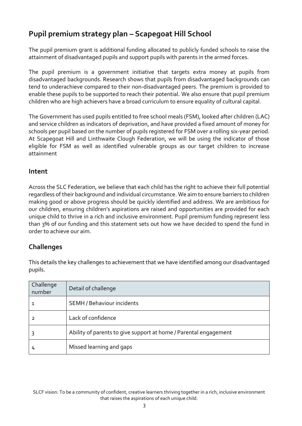## **Pupil premium strategy plan – Scapegoat Hill School**

The pupil premium grant is additional funding allocated to publicly funded schools to raise the attainment of disadvantaged pupils and support pupils with parents in the armed forces.

The pupil premium is a government initiative that targets extra money at pupils from disadvantaged backgrounds. Research shows that pupils from disadvantaged backgrounds can tend to underachieve compared to their non-disadvantaged peers. The premium is provided to enable these pupils to be supported to reach their potential. We also ensure that pupil premium children who are high achievers have a broad curriculum to ensure equality of cultural capital.

The Government has used pupils entitled to free school meals (FSM), looked after children (LAC) and service children as indicators of deprivation, and have provided a fixed amount of money for schools per pupil based on the number of pupils registered for FSM over a rolling six-year period. At Scapegoat Hill and Linthwaite Clough Federation, we will be using the indicator of those eligible for FSM as well as identified vulnerable groups as our target children to increase attainment

#### **Intent**

Across the SLC Federation, we believe that each child has the right to achieve their full potential regardless of their background and individual circumstance. We aim to ensure barriers to children making good or above progress should be quickly identified and address. We are ambitious for our children, ensuring children's aspirations are raised and opportunities are provided for each unique child to thrive in a rich and inclusive environment. Pupil premium funding represent less than 3% of our funding and this statement sets out how we have decided to spend the fund in order to achieve our aim.

## **Challenges**

This details the key challenges to achievement that we have identified among our disadvantaged pupils.

| Challenge<br>number | Detail of challenge                                              |
|---------------------|------------------------------------------------------------------|
|                     | SEMH / Behaviour incidents                                       |
| 2                   | Lack of confidence                                               |
|                     | Ability of parents to give support at home / Parental engagement |
| 4                   | Missed learning and gaps                                         |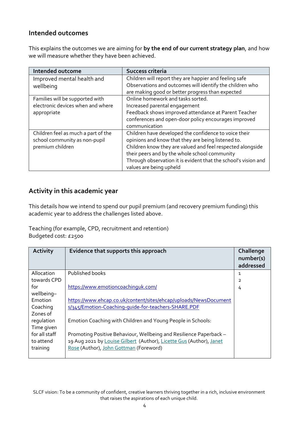#### **Intended outcomes**

This explains the outcomes we are aiming for **by the end of our current strategy plan**, and how we will measure whether they have been achieved.

| <b>Intended outcome</b>             | Success criteria                                               |
|-------------------------------------|----------------------------------------------------------------|
| Improved mental health and          | Children will report they are happier and feeling safe         |
| wellbeing                           | Observations and outcomes will identify the children who       |
|                                     | are making good or better progress than expected               |
| Families will be supported with     | Online homework and tasks sorted.                              |
| electronic devices when and where   | Increased parental engagement                                  |
| appropriate                         | Feedback shows improved attendance at Parent Teacher           |
|                                     | conferences and open-door policy encourages improved           |
|                                     | communication                                                  |
| Children feel as much a part of the | Children have developed the confidence to voice their          |
| school community as non-pupil       | opinions and know that they are being listened to.             |
| premium children                    | Children know they are valued and feel respected alongside     |
|                                     | their peers and by the whole school community                  |
|                                     | Through observation it is evident that the school's vision and |
|                                     | values are being upheld                                        |

## **Activity in this academic year**

This details how we intend to spend our pupil premium (and recovery premium funding) this academic year to address the challenges listed above.

Teaching (for example, CPD, recruitment and retention) Budgeted cost: £2500

| <b>Activity</b> | Evidence that supports this approach                                | Challenge<br>number(s)<br>addressed |
|-----------------|---------------------------------------------------------------------|-------------------------------------|
| Allocation      | Published books                                                     | 1                                   |
| towards CPD     |                                                                     | 2                                   |
| for             | https://www.emotioncoachinguk.com/                                  | 4                                   |
| wellbeing-      |                                                                     |                                     |
| Emotion         | https://www.ehcap.co.uk/content/sites/ehcap/uploads/NewsDocument    |                                     |
| Coaching        | s/345/Emotion-Coaching-quide-for-teachers-SHARE.PDF                 |                                     |
| Zones of        |                                                                     |                                     |
| requlation      | Emotion Coaching with Children and Young People in Schools:         |                                     |
| Time given      |                                                                     |                                     |
| for all staff   | Promoting Positive Behaviour, Wellbeing and Resilience Paperback -  |                                     |
| to attend       | 19 Aug 2021 by Louise Gilbert (Author), Licette Gus (Author), Janet |                                     |
| training        | Rose (Author), John Gottman (Foreword)                              |                                     |
|                 |                                                                     |                                     |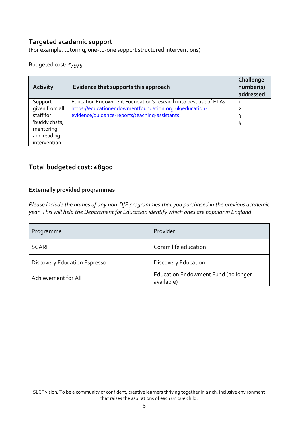#### **Targeted academic support**

(For example, tutoring, one-to-one support structured interventions)

Budgeted cost: £7975

| <b>Activity</b> | Evidence that supports this approach                            | Challenge<br>number(s)<br>addressed |
|-----------------|-----------------------------------------------------------------|-------------------------------------|
| Support         | Education Endowment Foundation's research into best use of ETAs | 1                                   |
| given from all  | https://educationendowmentfoundation.org.uk/education-          | っ                                   |
| staff for       | evidence/quidance-reports/teaching-assistants                   | 3                                   |
| 'buddy chats,   |                                                                 | 4                                   |
| mentoring       |                                                                 |                                     |
| and reading     |                                                                 |                                     |
| intervention    |                                                                 |                                     |

## **Total budgeted cost: £8900**

#### **Externally provided programmes**

*Please include the names of any non-DfE programmes that you purchased in the previous academic year. This will help the Department for Education identify which ones are popular in England*

| Programme                           | Provider                                          |
|-------------------------------------|---------------------------------------------------|
| <b>SCARF</b>                        | Coram life education                              |
| <b>Discovery Education Espresso</b> | <b>Discovery Education</b>                        |
| Achievement for All                 | Education Endowment Fund (no longer<br>available) |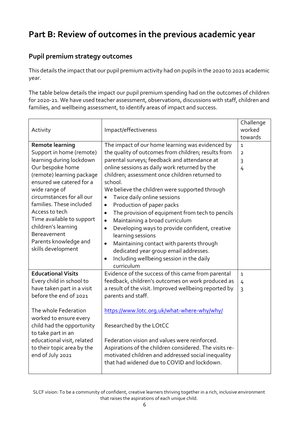# **Part B: Review of outcomes in the previous academic year**

## **Pupil premium strategy outcomes**

This details the impact that our pupil premium activity had on pupils in the 2020 to 2021 academic year.

The table below details the impact our pupil premium spending had on the outcomes of children for 2020-21. We have used teacher assessment, observations, discussions with staff, children and families, and wellbeing assessment, to identify areas of impact and success.

|                            |                                                              | Challenge      |
|----------------------------|--------------------------------------------------------------|----------------|
| Activity                   | Impact/effectiveness                                         | worked         |
|                            |                                                              | towards        |
| <b>Remote learning</b>     | The impact of our home learning was evidenced by             | $\mathbf{1}$   |
| Support in home (remote)   | the quality of outcomes from children; results from          | $\overline{2}$ |
| learning during lockdown   | parental surveys; feedback and attendance at                 | $\overline{3}$ |
| Our bespoke home           | online sessions as daily work returned by the                | $\overline{4}$ |
| (remote) learning package  | children; assessment once children returned to               |                |
| ensured we catered for a   | school.                                                      |                |
| wide range of              | We believe the children were supported through               |                |
| circumstances for all our  | Twice daily online sessions<br>$\bullet$                     |                |
| families. These included   | Production of paper packs<br>$\bullet$                       |                |
| Access to tech             | The provision of equipment from tech to pencils<br>$\bullet$ |                |
| Time available to support  | Maintaining a broad curriculum<br>$\bullet$                  |                |
| children's learning        | Developing ways to provide confident, creative<br>$\bullet$  |                |
| Bereavement                | learning sessions                                            |                |
| Parents knowledge and      | Maintaining contact with parents through<br>$\bullet$        |                |
| skills development         | dedicated year group email addresses.                        |                |
|                            | Including wellbeing session in the daily<br>$\bullet$        |                |
|                            | curriculum                                                   |                |
| <b>Educational Visits</b>  | Evidence of the success of this came from parental           | $\mathbf{1}$   |
| Every child in school to   | feedback, children's outcomes on work produced as            | $\overline{4}$ |
| have taken part in a visit | a result of the visit. Improved wellbeing reported by        | $\overline{3}$ |
| before the end of 2021     | parents and staff.                                           |                |
|                            |                                                              |                |
| The whole Federation       | https://www.lotc.org.uk/what-where-why/why/                  |                |
| worked to ensure every     |                                                              |                |
| child had the opportunity  | Researched by the LOtCC                                      |                |
| to take part in an         |                                                              |                |
| educational visit, related | Federation vision and values were reinforced.                |                |
| to their topic area by the | Aspirations of the children considered. The visits re-       |                |
| end of July 2021           | motivated children and addressed social inequality           |                |
|                            | that had widened due to COVID and lockdown.                  |                |
|                            |                                                              |                |

SLCF vision: To be a community of confident, creative learners thriving together in a rich, inclusive environment that raises the aspirations of each unique child.